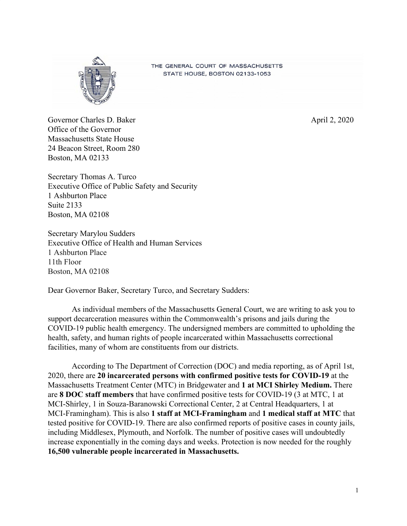

THE GENERAL COURT OF MASSACHUSETTS STATE HOUSE, BOSTON 02133-1053

Governor Charles D. Baker April 2, 2020 Office of the Governor Massachusetts State House 24 Beacon Street, Room 280 Boston, MA 02133

Secretary Thomas A. Turco Executive Office of Public Safety and Security 1 Ashburton Place Suite 2133 Boston, MA 02108

Secretary Marylou Sudders Executive Office of Health and Human Services 1 Ashburton Place 11th Floor Boston, MA 02108

Dear Governor Baker, Secretary Turco, and Secretary Sudders:

As individual members of the Massachusetts General Court, we are writing to ask you to support decarceration measures within the Commonwealth's prisons and jails during the COVID-19 public health emergency. The undersigned members are committed to upholding the health, safety, and human rights of people incarcerated within Massachusetts correctional facilities, many of whom are constituents from our districts.

According to The Department of Correction (DOC) and media reporting, as of April 1st, 2020, there are **20 incarcerated persons with confirmed positive tests for COVID-19** at the Massachusetts Treatment Center (MTC) in Bridgewater and **1 at MCI Shirley Medium.** There are **8 DOC staff members** that have confirmed positive tests for COVID-19 (3 at MTC, 1 at MCI-Shirley, 1 in Souza-Baranowski Correctional Center, 2 at Central Headquarters, 1 at MCI-Framingham). This is also **1 staff at MCI-Framingham** and **1 medical staff at MTC** that tested positive for COVID-19. There are also confirmed reports of positive cases in county jails, including Middlesex, Plymouth, and Norfolk. The number of positive cases will undoubtedly increase exponentially in the coming days and weeks. Protection is now needed for the roughly **16,500 vulnerable people incarcerated in Massachusetts.**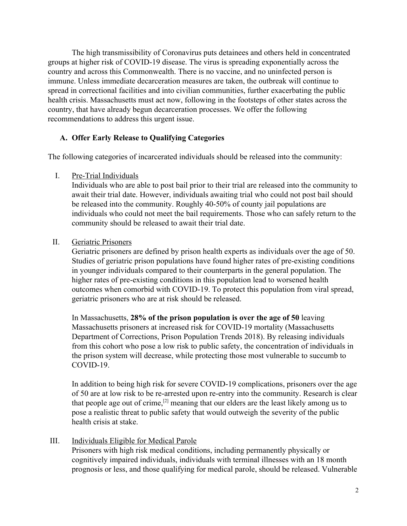The high transmissibility of Coronavirus puts detainees and others held in concentrated groups at higher risk of COVID-19 disease. The virus is spreading exponentially across the country and across this Commonwealth. There is no vaccine, and no uninfected person is immune. Unless immediate decarceration measures are taken, the outbreak will continue to spread in correctional facilities and into civilian communities, further exacerbating the public health crisis. Massachusetts must act now, following in the footsteps of other states across the country, that have already begun decarceration processes. We offer the following recommendations to address this urgent issue.

## **A. Offer Early Release to Qualifying Categories**

The following categories of incarcerated individuals should be released into the community:

I. Pre-Trial Individuals

Individuals who are able to post bail prior to their trial are released into the community to await their trial date. However, individuals awaiting trial who could not post bail should be released into the community. Roughly 40-50% of county jail populations are individuals who could not meet the bail requirements. Those who can safely return to the community should be released to await their trial date.

## II. Geriatric Prisoners

Geriatric prisoners are defined by prison health experts as individuals over the age of 50. Studies of geriatric prison populations have found higher rates of pre-existing conditions in younger individuals compared to their counterparts in the general population. The higher rates of pre-existing conditions in this population lead to worsened health outcomes when comorbid with COVID-19. To protect this population from viral spread, geriatric prisoners who are at risk should be released.

In Massachusetts, **28% of the prison population is over the age of 50** leaving Massachusetts prisoners at increased risk for COVID-19 mortality (Massachusetts Department of Corrections, Prison Population Trends 2018). By releasing individuals from this cohort who pose a low risk to public safety, the concentration of individuals in the prison system will decrease, while protecting those most vulnerable to succumb to COVID-19.

In addition to being high risk for severe COVID-19 complications, prisoners over the age of 50 are at low risk to be re-arrested upon re-entry into the community. Research is clear that people age out of crime,<sup>[2]</sup> meaning that our elders are the least likely among us to pose a realistic threat to public safety that would outweigh the severity of the public health crisis at stake.

## III. Individuals Eligible for Medical Parole

Prisoners with high risk medical conditions, including permanently physically or cognitively impaired individuals, individuals with terminal illnesses with an 18 month prognosis or less, and those qualifying for medical parole, should be released. Vulnerable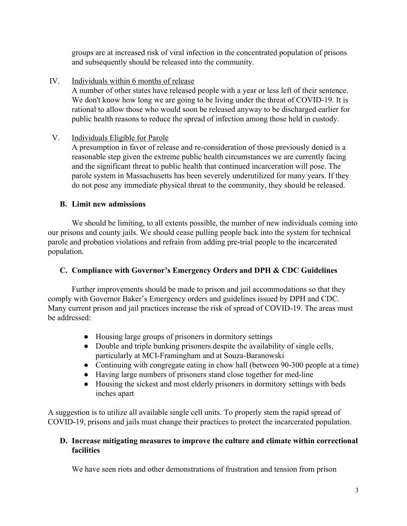groups are at increased risk of viral infection in the concentrated population of prisons and subsequently should be released into the community.

IV. Individuals within 6 months of release

A number of other states have released people with a year or less left of their sentence. We don't know how long we are going to be living under the threat of COVID-19. It is rational to allow those who would soon be released anyway to be discharged earlier for public health reasons to reduce the spread of infection among those held in custody.

## V. Individuals Eligible for Parole

A presumption in favor of release and re-consideration of those previously denied is a reasonable step given the extreme public health circumstances we are currently facing and the significant threat to public health that continued incarceration will pose. The parole system in Massachusetts has been severely underutilized for many years. If they do not pose any immediate physical threat to the community, they should be released.

## **B. Limit new admissions**

We should be limiting, to all extents possible, the number of new individuals coming into our prisons and county jails. We should cease pulling people back into the system for technical parole and probation violations and refrain from adding pre-trial people to the incarcerated population.

# **C. Compliance with Governor's Emergency Orders and DPH & CDC Guidelines**

Further improvements should be made to prison and jail accommodations so that they comply with Governor Baker's Emergency orders and guidelines issued by DPH and CDC. Many current prison and jail practices increase the risk of spread of COVID-19. The areas must be addressed:

- Housing large groups of prisoners in dormitory settings
- Double and triple bunking prisoners despite the availability of single cells, particularly at MCI-Framingham and at Souza-Baranowski
- Continuing with congregate eating in chow hall (between 90-300 people at a time)
- Having large numbers of prisoners stand close together for med-line
- Housing the sickest and most elderly prisoners in dormitory settings with beds inches apart

A suggestion is to utilize all available single cell units. To properly stem the rapid spread of COVID-19, prisons and jails must change their practices to protect the incarcerated population.

## **D. Increase mitigating measures to improve the culture and climate within correctional facilities**

We have seen riots and other demonstrations of frustration and tension from prison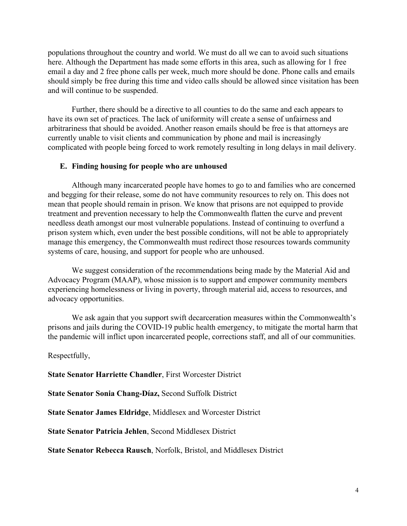populations throughout the country and world. We must do all we can to avoid such situations here. Although the Department has made some efforts in this area, such as allowing for 1 free email a day and 2 free phone calls per week, much more should be done. Phone calls and emails should simply be free during this time and video calls should be allowed since visitation has been and will continue to be suspended.

Further, there should be a directive to all counties to do the same and each appears to have its own set of practices. The lack of uniformity will create a sense of unfairness and arbitrariness that should be avoided. Another reason emails should be free is that attorneys are currently unable to visit clients and communication by phone and mail is increasingly complicated with people being forced to work remotely resulting in long delays in mail delivery.

#### **E. Finding housing for people who are unhoused**

Although many incarcerated people have homes to go to and families who are concerned and begging for their release, some do not have community resources to rely on. This does not mean that people should remain in prison. We know that prisons are not equipped to provide treatment and prevention necessary to help the Commonwealth flatten the curve and prevent needless death amongst our most vulnerable populations. Instead of continuing to overfund a prison system which, even under the best possible conditions, will not be able to appropriately manage this emergency, the Commonwealth must redirect those resources towards community systems of care, housing, and support for people who are unhoused.

We suggest consideration of the recommendations being made by the Material Aid and Advocacy Program (MAAP), whose mission is to support and empower community members experiencing homelessness or living in poverty, through material aid, access to resources, and advocacy opportunities.

We ask again that you support swift decarceration measures within the Commonwealth's prisons and jails during the COVID-19 public health emergency, to mitigate the mortal harm that the pandemic will inflict upon incarcerated people, corrections staff, and all of our communities.

Respectfully,

**State Senator Harriette Chandler**, First Worcester District

**State Senator Sonia Chang-Díaz,** Second Suffolk District

**State Senator James Eldridge**, Middlesex and Worcester District

**State Senator Patricia Jehlen**, Second Middlesex District

**State Senator Rebecca Rausch**, Norfolk, Bristol, and Middlesex District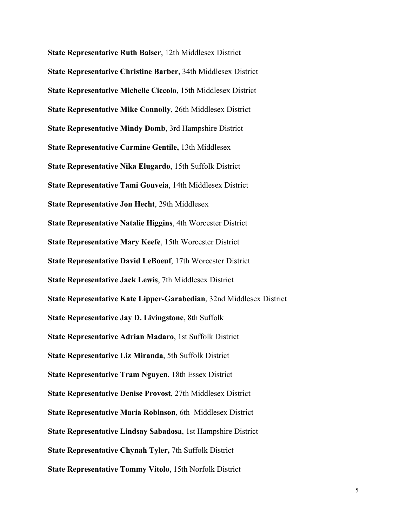**State Representative Ruth Balser**, 12th Middlesex District **State Representative Christine Barber**, 34th Middlesex District **State Representative Michelle Ciccolo**, 15th Middlesex District **State Representative Mike Connolly**, 26th Middlesex District **State Representative Mindy Domb**, 3rd Hampshire District **State Representative Carmine Gentile,** 13th Middlesex **State Representative Nika Elugardo**, 15th Suffolk District **State Representative Tami Gouveia**, 14th Middlesex District **State Representative Jon Hecht**, 29th Middlesex **State Representative Natalie Higgins**, 4th Worcester District **State Representative Mary Keefe**, 15th Worcester District **State Representative David LeBoeuf**, 17th Worcester District **State Representative Jack Lewis**, 7th Middlesex District **State Representative Kate Lipper-Garabedian**, 32nd Middlesex District **State Representative Jay D. Livingstone**, 8th Suffolk **State Representative Adrian Madaro**, 1st Suffolk District **State Representative Liz Miranda**, 5th Suffolk District **State Representative Tram Nguyen**, 18th Essex District **State Representative Denise Provost**, 27th Middlesex District **State Representative Maria Robinson**, 6th Middlesex District **State Representative Lindsay Sabadosa**, 1st Hampshire District **State Representative Chynah Tyler,** 7th Suffolk District **State Representative Tommy Vitolo**, 15th Norfolk District